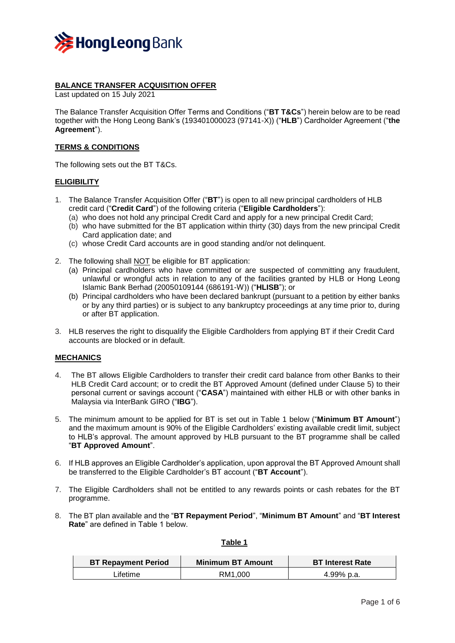

## **BALANCE TRANSFER ACQUISITION OFFER**

Last updated on 15 July 2021

The Balance Transfer Acquisition Offer Terms and Conditions ("**BT T&Cs**") herein below are to be read together with the Hong Leong Bank's (193401000023 (97141-X)) ("**HLB**") Cardholder Agreement ("**the Agreement**").

# **TERMS & CONDITIONS**

The following sets out the BT T&Cs.

## **ELIGIBILITY**

- 1. The Balance Transfer Acquisition Offer ("**BT**") is open to all new principal cardholders of HLB credit card ("**Credit Card**") of the following criteria ("**Eligible Cardholders**"):
	- (a) who does not hold any principal Credit Card and apply for a new principal Credit Card;
	- (b) who have submitted for the BT application within thirty (30) days from the new principal Credit Card application date; and
	- (c) whose Credit Card accounts are in good standing and/or not delinquent.
- 2. The following shall NOT be eligible for BT application:
	- (a) Principal cardholders who have committed or are suspected of committing any fraudulent, unlawful or wrongful acts in relation to any of the facilities granted by HLB or Hong Leong Islamic Bank Berhad (20050109144 (686191-W)) ("**HLISB**"); or
	- (b) Principal cardholders who have been declared bankrupt (pursuant to a petition by either banks or by any third parties) or is subject to any bankruptcy proceedings at any time prior to, during or after BT application.
- 3. HLB reserves the right to disqualify the Eligible Cardholders from applying BT if their Credit Card accounts are blocked or in default.

### **MECHANICS**

- 4. The BT allows Eligible Cardholders to transfer their credit card balance from other Banks to their HLB Credit Card account; or to credit the BT Approved Amount (defined under Clause 5) to their personal current or savings account ("**CASA**") maintained with either HLB or with other banks in Malaysia via InterBank GIRO ("**IBG**").
- 5. The minimum amount to be applied for BT is set out in Table 1 below ("**Minimum BT Amount**") and the maximum amount is 90% of the Eligible Cardholders' existing available credit limit, subject to HLB's approval. The amount approved by HLB pursuant to the BT programme shall be called "**BT Approved Amount**".
- 6. If HLB approves an Eligible Cardholder's application, upon approval the BT Approved Amount shall be transferred to the Eligible Cardholder's BT account ("**BT Account**").
- 7. The Eligible Cardholders shall not be entitled to any rewards points or cash rebates for the BT programme.
- 8. The BT plan available and the "**BT Repayment Period**", "**Minimum BT Amount**" and "**BT Interest Rate**" are defined in Table 1 below.

### **Table 1**

| <b>BT Repayment Period</b> | <b>Minimum BT Amount</b> | <b>BT Interest Rate</b> |
|----------------------------|--------------------------|-------------------------|
| ∟ifetime                   | RM1.000                  | 4.99% p.a.              |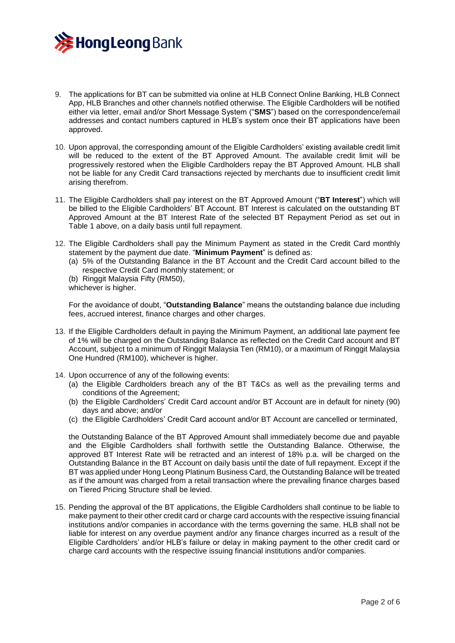

- 9. The applications for BT can be submitted via online at HLB Connect Online Banking, HLB Connect App, HLB Branches and other channels notified otherwise. The Eligible Cardholders will be notified either via letter, email and/or Short Message System ("**SMS**") based on the correspondence/email addresses and contact numbers captured in HLB's system once their BT applications have been approved.
- 10. Upon approval, the corresponding amount of the Eligible Cardholders' existing available credit limit will be reduced to the extent of the BT Approved Amount. The available credit limit will be progressively restored when the Eligible Cardholders repay the BT Approved Amount. HLB shall not be liable for any Credit Card transactions rejected by merchants due to insufficient credit limit arising therefrom.
- 11. The Eligible Cardholders shall pay interest on the BT Approved Amount ("**BT Interest**") which will be billed to the Eligible Cardholders' BT Account. BT Interest is calculated on the outstanding BT Approved Amount at the BT Interest Rate of the selected BT Repayment Period as set out in Table 1 above, on a daily basis until full repayment.
- 12. The Eligible Cardholders shall pay the Minimum Payment as stated in the Credit Card monthly statement by the payment due date. "**Minimum Payment**" is defined as:
	- (a) 5% of the Outstanding Balance in the BT Account and the Credit Card account billed to the respective Credit Card monthly statement; or
	- (b) Ringgit Malaysia Fifty (RM50), whichever is higher.

For the avoidance of doubt, "**Outstanding Balance**" means the outstanding balance due including fees, accrued interest, finance charges and other charges.

- 13. If the Eligible Cardholders default in paying the Minimum Payment, an additional late payment fee of 1% will be charged on the Outstanding Balance as reflected on the Credit Card account and BT Account, subject to a minimum of Ringgit Malaysia Ten (RM10), or a maximum of Ringgit Malaysia One Hundred (RM100), whichever is higher.
- 14. Upon occurrence of any of the following events:
	- (a) the Eligible Cardholders breach any of the BT T&Cs as well as the prevailing terms and conditions of the Agreement;
	- (b) the Eligible Cardholders' Credit Card account and/or BT Account are in default for ninety (90) days and above; and/or
	- (c) the Eligible Cardholders' Credit Card account and/or BT Account are cancelled or terminated,

the Outstanding Balance of the BT Approved Amount shall immediately become due and payable and the Eligible Cardholders shall forthwith settle the Outstanding Balance. Otherwise, the approved BT Interest Rate will be retracted and an interest of 18% p.a. will be charged on the Outstanding Balance in the BT Account on daily basis until the date of full repayment. Except if the BT was applied under Hong Leong Platinum Business Card, the Outstanding Balance will be treated as if the amount was charged from a retail transaction where the prevailing finance charges based on Tiered Pricing Structure shall be levied.

15. Pending the approval of the BT applications, the Eligible Cardholders shall continue to be liable to make payment to their other credit card or charge card accounts with the respective issuing financial institutions and/or companies in accordance with the terms governing the same. HLB shall not be liable for interest on any overdue payment and/or any finance charges incurred as a result of the Eligible Cardholders' and/or HLB's failure or delay in making payment to the other credit card or charge card accounts with the respective issuing financial institutions and/or companies.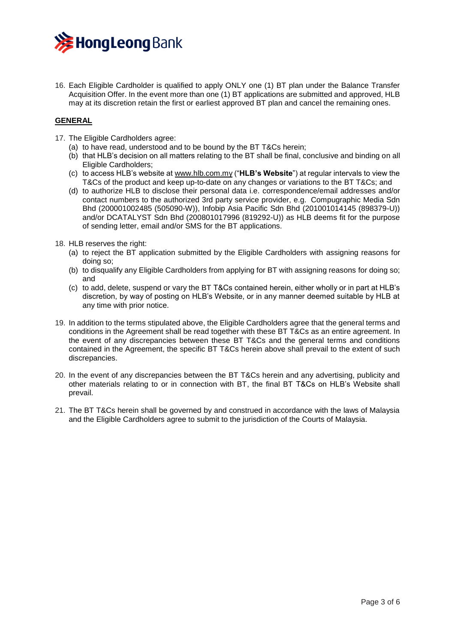

16. Each Eligible Cardholder is qualified to apply ONLY one (1) BT plan under the Balance Transfer Acquisition Offer. In the event more than one (1) BT applications are submitted and approved, HLB may at its discretion retain the first or earliest approved BT plan and cancel the remaining ones.

# **GENERAL**

- 17. The Eligible Cardholders agree:
	- (a) to have read, understood and to be bound by the BT T&Cs herein;
	- (b) that HLB's decision on all matters relating to the BT shall be final, conclusive and binding on all Eligible Cardholders;
	- (c) to access HLB's website a[t www.hlb.com.my](https://www.hlb.com.my/en/personal-banking/home.html) ("**HLB's Website**") at regular intervals to view the T&Cs of the product and keep up-to-date on any changes or variations to the BT T&Cs; and
	- (d) to authorize HLB to disclose their personal data i.e. correspondence/email addresses and/or contact numbers to the authorized 3rd party service provider, e.g. Compugraphic Media Sdn Bhd (200001002485 (505090-W)), Infobip Asia Pacific Sdn Bhd (201001014145 (898379-U)) and/or DCATALYST Sdn Bhd (200801017996 (819292-U)) as HLB deems fit for the purpose of sending letter, email and/or SMS for the BT applications.
- 18. HLB reserves the right:
	- (a) to reject the BT application submitted by the Eligible Cardholders with assigning reasons for doing so;
	- (b) to disqualify any Eligible Cardholders from applying for BT with assigning reasons for doing so; and
	- (c) to add, delete, suspend or vary the BT T&Cs contained herein, either wholly or in part at HLB's discretion, by way of posting on HLB's Website, or in any manner deemed suitable by HLB at any time with prior notice.
- 19. In addition to the terms stipulated above, the Eligible Cardholders agree that the general terms and conditions in the Agreement shall be read together with these BT T&Cs as an entire agreement. In the event of any discrepancies between these BT T&Cs and the general terms and conditions contained in the Agreement, the specific BT T&Cs herein above shall prevail to the extent of such discrepancies.
- 20. In the event of any discrepancies between the BT T&Cs herein and any advertising, publicity and other materials relating to or in connection with BT, the final BT T&Cs on HLB's Website shall prevail.
- 21. The BT T&Cs herein shall be governed by and construed in accordance with the laws of Malaysia and the Eligible Cardholders agree to submit to the jurisdiction of the Courts of Malaysia.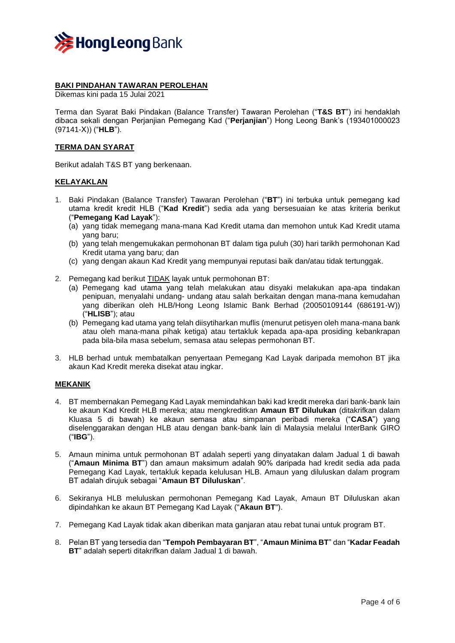

## **BAKI PINDAHAN TAWARAN PEROLEHAN**

Dikemas kini pada 15 Julai 2021

Terma dan Syarat Baki Pindakan (Balance Transfer) Tawaran Perolehan ("**T&S BT**") ini hendaklah dibaca sekali dengan Perjanjian Pemegang Kad ("**Perjanjian**") Hong Leong Bank's (193401000023 (97141-X)) ("**HLB**").

## **TERMA DAN SYARAT**

Berikut adalah T&S BT yang berkenaan.

### **KELAYAKLAN**

- 1. Baki Pindakan (Balance Transfer) Tawaran Perolehan ("**BT**") ini terbuka untuk pemegang kad utama kredit kredit HLB ("**Kad Kredit**") sedia ada yang bersesuaian ke atas kriteria berikut ("**Pemegang Kad Layak**"):
	- (a) yang tidak memegang mana-mana Kad Kredit utama dan memohon untuk Kad Kredit utama yang baru;
	- (b) yang telah mengemukakan permohonan BT dalam tiga puluh (30) hari tarikh permohonan Kad Kredit utama yang baru; dan
	- (c) yang dengan akaun Kad Kredit yang mempunyai reputasi baik dan/atau tidak tertunggak.
- 2. Pemegang kad berikut TIDAK layak untuk permohonan BT:
	- (a) Pemegang kad utama yang telah melakukan atau disyaki melakukan apa-apa tindakan penipuan, menyalahi undang- undang atau salah berkaitan dengan mana-mana kemudahan yang diberikan oleh HLB/Hong Leong Islamic Bank Berhad (20050109144 (686191-W)) ("**HLISB**"); atau
	- (b) Pemegang kad utama yang telah diisytiharkan muflis (menurut petisyen oleh mana-mana bank atau oleh mana-mana pihak ketiga) atau tertakluk kepada apa-apa prosiding kebankrapan pada bila-bila masa sebelum, semasa atau selepas permohonan BT.
- 3. HLB berhad untuk membatalkan penyertaan Pemegang Kad Layak daripada memohon BT jika akaun Kad Kredit mereka disekat atau ingkar.

### **MEKANIK**

- 4. BT membernakan Pemegang Kad Layak memindahkan baki kad kredit mereka dari bank-bank lain ke akaun Kad Kredit HLB mereka; atau mengkreditkan **Amaun BT Dilulukan** (ditakrifkan dalam Kluasa 5 di bawah) ke akaun semasa atau simpanan peribadi mereka ("**CASA**") yang diselenggarakan dengan HLB atau dengan bank-bank lain di Malaysia melalui InterBank GIRO ("**IBG**").
- 5. Amaun minima untuk permohonan BT adalah seperti yang dinyatakan dalam Jadual 1 di bawah ("**Amaun Minima BT**") dan amaun maksimum adalah 90% daripada had kredit sedia ada pada Pemegang Kad Layak, tertakluk kepada kelulusan HLB. Amaun yang diluluskan dalam program BT adalah dirujuk sebagai "**Amaun BT Diluluskan**".
- 6. Sekiranya HLB meluluskan permohonan Pemegang Kad Layak, Amaun BT Diluluskan akan dipindahkan ke akaun BT Pemegang Kad Layak ("**Akaun BT**").
- 7. Pemegang Kad Layak tidak akan diberikan mata ganjaran atau rebat tunai untuk program BT.
- 8. Pelan BT yang tersedia dan "**Tempoh Pembayaran BT**", "**Amaun Minima BT**" dan "**Kadar Feadah BT**" adalah seperti ditakrifkan dalam Jadual 1 di bawah.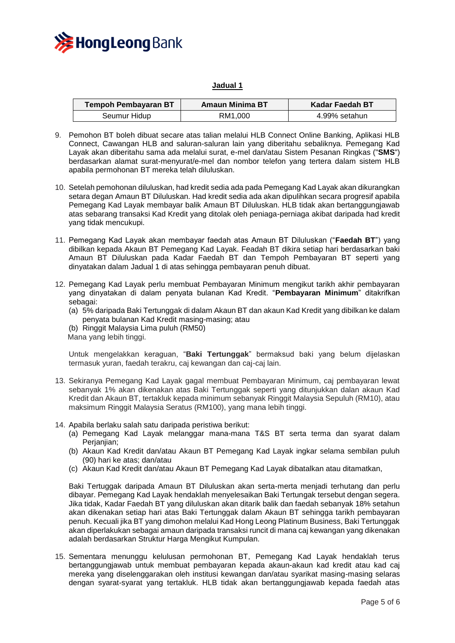

### **Jadual 1**

| <b>Tempoh Pembayaran BT</b> | Amaun Minima BT | Kadar Faedah BT |
|-----------------------------|-----------------|-----------------|
| Seumur Hidup                | RM1.000         | 4.99% setahun   |

- 9. Pemohon BT boleh dibuat secare atas talian melalui HLB Connect Online Banking, Aplikasi HLB Connect, Cawangan HLB and saluran-saluran lain yang diberitahu sebaliknya. Pemegang Kad Layak akan diberitahu sama ada melalui surat, e-mel dan/atau Sistem Pesanan Ringkas ("**SMS**") berdasarkan alamat surat-menyurat/e-mel dan nombor telefon yang tertera dalam sistem HLB apabila permohonan BT mereka telah diluluskan.
- 10. Setelah pemohonan diluluskan, had kredit sedia ada pada Pemegang Kad Layak akan dikurangkan setara degan Amaun BT Diluluskan. Had kredit sedia ada akan dipulihkan secara progresif apabila Pemegang Kad Layak membayar balik Amaun BT Diluluskan. HLB tidak akan bertanggungjawab atas sebarang transaksi Kad Kredit yang ditolak oleh peniaga-perniaga akibat daripada had kredit yang tidak mencukupi.
- 11. Pemegang Kad Layak akan membayar faedah atas Amaun BT Diluluskan ("**Faedah BT**") yang dibilkan kepada Akaun BT Pemegang Kad Layak. Feadah BT dikira setiap hari berdasarkan baki Amaun BT Diluluskan pada Kadar Faedah BT dan Tempoh Pembayaran BT seperti yang dinyatakan dalam Jadual 1 di atas sehingga pembayaran penuh dibuat.
- 12. Pemegang Kad Layak perlu membuat Pembayaran Minimum mengikut tarikh akhir pembayaran yang dinyatakan di dalam penyata bulanan Kad Kredit. "**Pembayaran Minimum**" ditakrifkan sebagai:
	- (a) 5% daripada Baki Tertunggak di dalam Akaun BT dan akaun Kad Kredit yang dibilkan ke dalam penyata bulanan Kad Kredit masing-masing; atau
	- (b) Ringgit Malaysia Lima puluh (RM50)
	- Mana yang lebih tinggi.

Untuk mengelakkan keraguan, "**Baki Tertunggak**" bermaksud baki yang belum dijelaskan termasuk yuran, faedah terakru, caj kewangan dan caj-caj lain.

- 13. Sekiranya Pemegang Kad Layak gagal membuat Pembayaran Minimum, caj pembayaran lewat sebanyak 1% akan dikenakan atas Baki Tertunggak seperti yang ditunjukkan dalan akaun Kad Kredit dan Akaun BT, tertakluk kepada minimum sebanyak Ringgit Malaysia Sepuluh (RM10), atau maksimum Ringgit Malaysia Seratus (RM100), yang mana lebih tinggi.
- 14. Apabila berlaku salah satu daripada peristiwa berikut:
	- (a) Pemegang Kad Layak melanggar mana-mana T&S BT serta terma dan syarat dalam Perjanjian;
	- (b) Akaun Kad Kredit dan/atau Akaun BT Pemegang Kad Layak ingkar selama sembilan puluh (90) hari ke atas; dan/atau
	- (c) Akaun Kad Kredit dan/atau Akaun BT Pemegang Kad Layak dibatalkan atau ditamatkan,

Baki Tertuggak daripada Amaun BT Diluluskan akan serta-merta menjadi terhutang dan perlu dibayar. Pemegang Kad Layak hendaklah menyelesaikan Baki Tertungak tersebut dengan segera. Jika tidak, Kadar Faedah BT yang diluluskan akan ditarik balik dan faedah sebanyak 18% setahun akan dikenakan setiap hari atas Baki Tertunggak dalam Akaun BT sehingga tarikh pembayaran penuh. Kecuali jika BT yang dimohon melalui Kad Hong Leong Platinum Business, Baki Tertunggak akan diperlakukan sebagai amaun daripada transaksi runcit di mana caj kewangan yang dikenakan adalah berdasarkan Struktur Harga Mengikut Kumpulan.

15. Sementara menunggu kelulusan permohonan BT, Pemegang Kad Layak hendaklah terus bertanggungjawab untuk membuat pembayaran kepada akaun-akaun kad kredit atau kad caj mereka yang diselenggarakan oleh institusi kewangan dan/atau syarikat masing-masing selaras dengan syarat-syarat yang tertakluk. HLB tidak akan bertanggungjawab kepada faedah atas